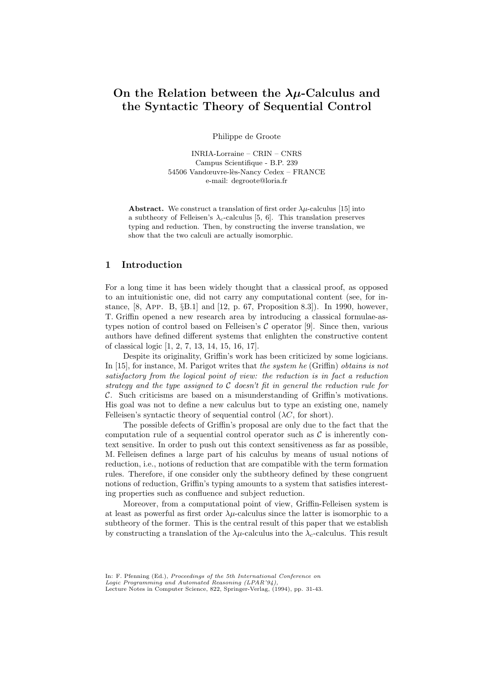# On the Relation between the  $\lambda \mu$ -Calculus and the Syntactic Theory of Sequential Control

Philippe de Groote

INRIA-Lorraine – CRIN – CNRS Campus Scientifique - B.P. 239 54506 Vandœuvre-lès-Nancy Cedex – FRANCE e-mail: degroote@loria.fr

**Abstract.** We construct a translation of first order  $\lambda \mu$ -calculus [15] into a subtheory of Felleisen's  $\lambda_c$ -calculus [5, 6]. This translation preserves typing and reduction. Then, by constructing the inverse translation, we show that the two calculi are actually isomorphic.

# 1 Introduction

For a long time it has been widely thought that a classical proof, as opposed to an intuitionistic one, did not carry any computational content (see, for instance, [8, App. B, §B.1] and [12, p. 67, Proposition 8.3]). In 1990, however, T. Griffin opened a new research area by introducing a classical formulae-astypes notion of control based on Felleisen's  $C$  operator [9]. Since then, various authors have defined different systems that enlighten the constructive content of classical logic [1, 2, 7, 13, 14, 15, 16, 17].

Despite its originality, Griffin's work has been criticized by some logicians. In [15], for instance, M. Parigot writes that the system he (Griffin) obtains is not satisfactory from the logical point of view: the reduction is in fact a reduction strategy and the type assigned to  $C$  doesn't fit in general the reduction rule for C. Such criticisms are based on a misunderstanding of Griffin's motivations. His goal was not to define a new calculus but to type an existing one, namely Felleisen's syntactic theory of sequential control  $( \lambda C,$  for short).

The possible defects of Griffin's proposal are only due to the fact that the computation rule of a sequential control operator such as  $\mathcal C$  is inherently context sensitive. In order to push out this context sensitiveness as far as possible, M. Felleisen defines a large part of his calculus by means of usual notions of reduction, i.e., notions of reduction that are compatible with the term formation rules. Therefore, if one consider only the subtheory defined by these congruent notions of reduction, Griffin's typing amounts to a system that satisfies interesting properties such as confluence and subject reduction.

Moreover, from a computational point of view, Griffin-Felleisen system is at least as powerful as first order  $\lambda \mu$ -calculus since the latter is isomorphic to a subtheory of the former. This is the central result of this paper that we establish by constructing a translation of the  $\lambda\mu$ -calculus into the  $\lambda_c$ -calculus. This result

In: F. Pfenning (Ed.), Proceedings of the 5th International Conference on Logic Programming and Automated Reasoning (LPAR'94),

Lecture Notes in Computer Science, 822, Springer-Verlag, (1994), pp. 31-43.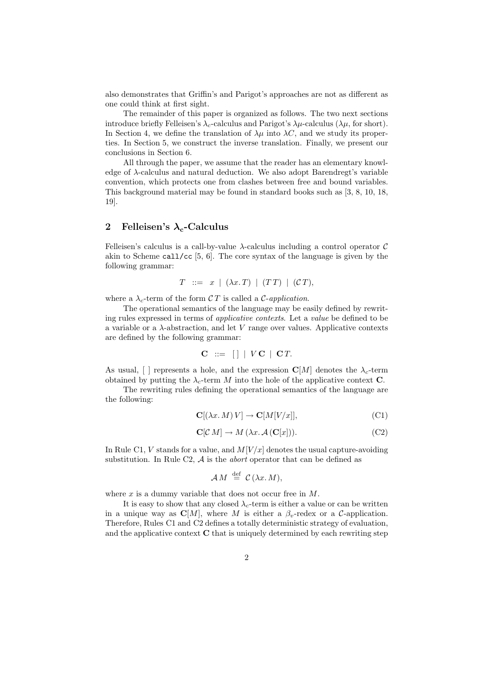also demonstrates that Griffin's and Parigot's approaches are not as different as one could think at first sight.

The remainder of this paper is organized as follows. The two next sections introduce briefly Felleisen's  $\lambda_c$ -calculus and Parigot's  $\lambda \mu$ -calculus ( $\lambda \mu$ , for short). In Section 4, we define the translation of  $\lambda\mu$  into  $\lambda C$ , and we study its properties. In Section 5, we construct the inverse translation. Finally, we present our conclusions in Section 6.

All through the paper, we assume that the reader has an elementary knowledge of  $\lambda$ -calculus and natural deduction. We also adopt Barendregt's variable convention, which protects one from clashes between free and bound variables. This background material may be found in standard books such as [3, 8, 10, 18, 19].

# 2 Felleisen's  $\lambda_c$ -Calculus

Felleisen's calculus is a call-by-value  $\lambda$ -calculus including a control operator C akin to Scheme call/cc  $[5, 6]$ . The core syntax of the language is given by the following grammar:

$$
T \ ::= x \mid (\lambda x. T) \mid (TT) \mid (CT),
$$

where a  $\lambda_c$ -term of the form CT is called a C-application.

The operational semantics of the language may be easily defined by rewriting rules expressed in terms of applicative contexts. Let a value be defined to be a variable or a  $\lambda$ -abstraction, and let V range over values. Applicative contexts are defined by the following grammar:

$$
\mathbf{C} \ ::= \ [\ ] \ | \ V\mathbf{C} \ | \ \mathbf{C}T.
$$

As usual,  $\lceil \cdot \rceil$  represents a hole, and the expression  $\mathbb{C}[M]$  denotes the  $\lambda_c$ -term obtained by putting the  $\lambda_c$ -term M into the hole of the applicative context **C**.

The rewriting rules defining the operational semantics of the language are the following:

$$
\mathbf{C}[(\lambda x. M) V] \to \mathbf{C}[M[V/x]], \tag{C1}
$$

$$
\mathbf{C}[\mathcal{C} \, M] \to M \, (\lambda x. \, \mathcal{A} \left( \mathbf{C}[x] \right)). \tag{C2}
$$

In Rule C1, V stands for a value, and  $M[V/x]$  denotes the usual capture-avoiding substitution. In Rule C2,  $A$  is the *abort* operator that can be defined as

$$
\mathcal{A} M \stackrel{\text{def}}{=} \mathcal{C} (\lambda x. M),
$$

where  $x$  is a dummy variable that does not occur free in  $M$ .

It is easy to show that any closed  $\lambda_c$ -term is either a value or can be written in a unique way as  $\mathbb{C}[M]$ , where M is either a  $\beta_v$ -redex or a C-application. Therefore, Rules C1 and C2 defines a totally deterministic strategy of evaluation, and the applicative context  $C$  that is uniquely determined by each rewriting step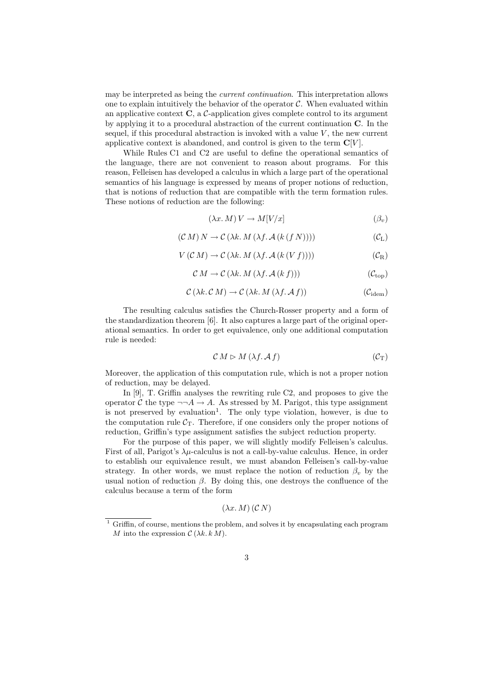may be interpreted as being the current continuation. This interpretation allows one to explain intuitively the behavior of the operator  $C$ . When evaluated within an applicative context  $C$ , a  $C$ -application gives complete control to its argument by applying it to a procedural abstraction of the current continuation C. In the sequel, if this procedural abstraction is invoked with a value  $V$ , the new current applicative context is abandoned, and control is given to the term  $\mathbb{C}[V]$ .

While Rules C1 and C2 are useful to define the operational semantics of the language, there are not convenient to reason about programs. For this reason, Felleisen has developed a calculus in which a large part of the operational semantics of his language is expressed by means of proper notions of reduction, that is notions of reduction that are compatible with the term formation rules. These notions of reduction are the following:

$$
(\lambda x. M) V \to M[V/x] \tag{3_v}
$$

$$
(\mathcal{C} M) N \to \mathcal{C} (\lambda k. M (\lambda f. \mathcal{A} (k (f N)))) \tag{CL}
$$

$$
V(C M) \to C(\lambda k. M(\lambda f. \mathcal{A}(k(V f)))) \tag{CR}
$$

$$
CM \to C(\lambda k. M(\lambda f. \mathcal{A}(k f))) \tag{Ctop}
$$

$$
\mathcal{C}(\lambda k.\mathcal{C}M) \to \mathcal{C}(\lambda k.\,M(\lambda f.\,\mathcal{A}\,f))\tag{C_{\text{idem}}}
$$

The resulting calculus satisfies the Church-Rosser property and a form of the standardization theorem [6]. It also captures a large part of the original operational semantics. In order to get equivalence, only one additional computation rule is needed:

$$
C M \rhd M \left(\lambda f \mathcal{A} f\right) \tag{C_T}
$$

Moreover, the application of this computation rule, which is not a proper notion of reduction, may be delayed.

In [9], T. Griffin analyses the rewriting rule C2, and proposes to give the operator C the type  $\neg\neg A \rightarrow A$ . As stressed by M. Parigot, this type assignment is not preserved by evaluation<sup>1</sup>. The only type violation, however, is due to the computation rule  $C_T$ . Therefore, if one considers only the proper notions of reduction, Griffin's type assignment satisfies the subject reduction property.

For the purpose of this paper, we will slightly modify Felleisen's calculus. First of all, Parigot's  $\lambda \mu$ -calculus is not a call-by-value calculus. Hence, in order to establish our equivalence result, we must abandon Felleisen's call-by-value strategy. In other words, we must replace the notion of reduction  $\beta_n$  by the usual notion of reduction  $\beta$ . By doing this, one destroys the confluence of the calculus because a term of the form

$$
(\lambda x.\,M)\,(\mathcal{C}\,N)
$$

<sup>&</sup>lt;sup>1</sup> Griffin, of course, mentions the problem, and solves it by encapsulating each program M into the expression  $\mathcal{C}(\lambda k, k, M)$ .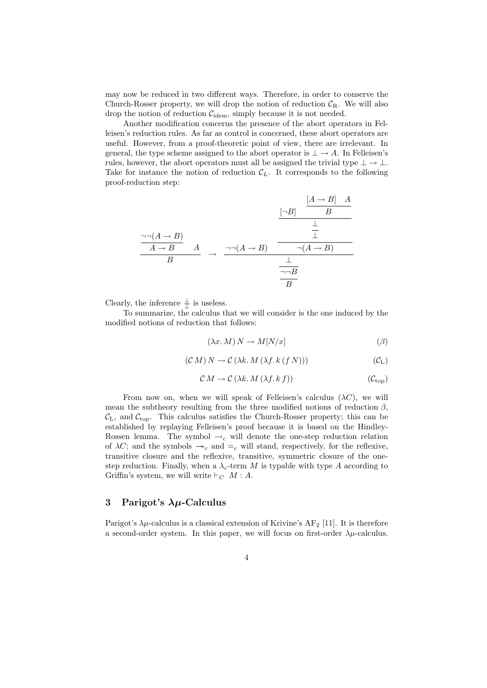may now be reduced in two different ways. Therefore, in order to conserve the Church-Rosser property, we will drop the notion of reduction  $C_R$ . We will also drop the notion of reduction  $C_{\text{idem}}$ , simply because it is not needed.

Another modification concerns the presence of the abort operators in Felleisen's reduction rules. As far as control is concerned, these abort operators are useful. However, from a proof-theoretic point of view, there are irrelevant. In general, the type scheme assigned to the abort operator is  $\perp \to A$ . In Felleisen's rules, however, the abort operators must all be assigned the trivial type  $\perp \to \perp$ . Take for instance the notion of reduction  $\mathcal{C}_L$ . It corresponds to the following proof-reduction step:

$$
\frac{\begin{array}{c|c}\n[A \rightarrow B] & A \\
\hline\nA \rightarrow B & A \\
\hline\nB & & \xrightarrow{\neg(A \rightarrow B)} \\
\hline\n\end{array}\n\rightarrow\n\begin{array}{c|c}\n\hline\n[\neg B] & B \\
\hline\n\end{array}\n\rightarrow\n\begin{array}{c|c}\n\hline\n[\neg B] & A \\
\hline\n\end{array}
$$

Clearly, the inference  $\frac{\perp}{\perp}$  is useless.

To summarize, the calculus that we will consider is the one induced by the modified notions of reduction that follows:

$$
(\lambda x. M) N \to M[N/x]
$$
 (3)

$$
(\mathcal{C} M) N \to \mathcal{C} (\lambda k. M (\lambda f. k (f N))) \tag{CL}
$$

$$
\mathcal{C} M \to \mathcal{C} \left( \lambda k. M \left( \lambda f. k \, f \right) \right) \tag{C_{\text{top}}}
$$

From now on, when we will speak of Felleisen's calculus  $(\lambda C)$ , we will mean the subtheory resulting from the three modified notions of reduction  $\beta$ ,  $\mathcal{C}_{L}$ , and  $\mathcal{C}_{top}$ . This calculus satisfies the Church-Rosser property; this can be established by replaying Felleisen's proof because it is based on the Hindley-Rossen lemma. The symbol  $\rightarrow_c$  will denote the one-step reduction relation of  $\lambda C$ ; and the symbols  $\rightarrow c$  and  $=c$  will stand, respectively, for the reflexive, transitive closure and the reflexive, transitive, symmetric closure of the onestep reduction. Finally, when a  $\lambda_c$ -term M is typable with type A according to Griffin's system, we will write  $\vdash_C M : A$ .

### 3 Parigot's  $\lambda \mu$ -Calculus

Parigot's  $\lambda \mu$ -calculus is a classical extension of Krivine's AF<sub>2</sub> [11]. It is therefore a second-order system. In this paper, we will focus on first-order  $\lambda \mu$ -calculus.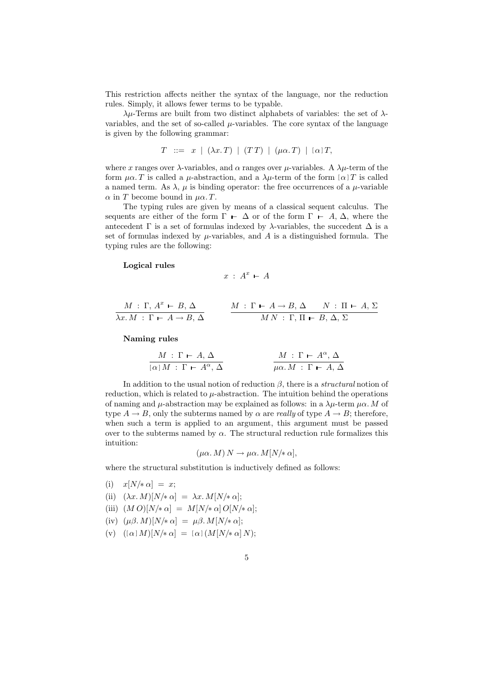This restriction affects neither the syntax of the language, nor the reduction rules. Simply, it allows fewer terms to be typable.

λµ-Terms are built from two distinct alphabets of variables: the set of λvariables, and the set of so-called  $\mu$ -variables. The core syntax of the language is given by the following grammar:

$$
T \ ::= x \mid (\lambda x. T) \mid (TT) \mid (\mu \alpha. T) \mid [\alpha] T,
$$

where x ranges over  $\lambda$ -variables, and  $\alpha$  ranges over  $\mu$ -variables. A  $\lambda \mu$ -term of the form  $\mu \alpha$ . T is called a  $\mu$ -abstraction, and a  $\lambda \mu$ -term of the form  $[\alpha]$  T is called a named term. As  $\lambda$ ,  $\mu$  is binding operator: the free occurrences of a  $\mu$ -variable  $\alpha$  in T become bound in  $\mu\alpha$ . T.

The typing rules are given by means of a classical sequent calculus. The sequents are either of the form  $\Gamma$  –  $\Delta$  or of the form  $\Gamma$  – A,  $\Delta$ , where the antecedent  $\Gamma$  is a set of formulas indexed by  $\lambda$ -variables, the succedent  $\Delta$  is a set of formulas indexed by  $\mu$ -variables, and  $A$  is a distinguished formula. The typing rules are the following:

#### Logical rules

$$
x \; : \; A^x \;\vdash\; A
$$

$$
\frac{M \,:\, \Gamma,\, A^x \,\vdash\, B,\, \Delta}{\lambda x.\, M \,:\, \Gamma \,\vdash\, A \to B,\, \Delta} \qquad \frac{M \,:\, \Gamma \,\vdash\, A \to B,\, \Delta \qquad N \,:\, \Pi \,\vdash\, A,\, \Sigma}{M\, N \,:\, \Gamma,\, \Pi \,\vdash\, B,\, \Delta,\, \Sigma}
$$

#### Naming rules

$$
\frac{M \,:\, \Gamma \,\vdash\, A, \,\Delta}{\left[\,\alpha\,\right] M \,:\, \Gamma \,\vdash\, A^{\alpha}, \,\Delta} \qquad \qquad \frac{M \,:\, \Gamma \,\vdash\, A^{\alpha}, \,\Delta}{\mu\alpha.\,M \,:\, \Gamma \,\vdash\, A, \,\Delta}
$$

In addition to the usual notion of reduction  $\beta$ , there is a *structural* notion of reduction, which is related to  $\mu$ -abstraction. The intuition behind the operations of naming and  $\mu$ -abstraction may be explained as follows: in a  $\lambda \mu$ -term  $\mu \alpha$ . M of type  $A \to B$ , only the subterms named by  $\alpha$  are *really* of type  $A \to B$ ; therefore, when such a term is applied to an argument, this argument must be passed over to the subterms named by  $\alpha$ . The structural reduction rule formalizes this intuition:

$$
(\mu\alpha. M) N \to \mu\alpha. M[N/\ast\alpha],
$$

where the structural substitution is inductively defined as follows:

- (i)  $x[N/\ast \alpha] = x;$
- (ii)  $(\lambda x.\, M)[N/\ast \alpha] = \lambda x.\, M[N/\ast \alpha];$
- (iii)  $(M O)[N/\ast \alpha] = M[N/\ast \alpha] O[N/\ast \alpha];$
- (iv)  $(\mu \beta. M)[N/\ast \alpha] = \mu \beta. M[N/\ast \alpha];$
- (v)  $[(\alpha] M)[N/\ast \alpha] = [\alpha] (M[N/\ast \alpha] N);$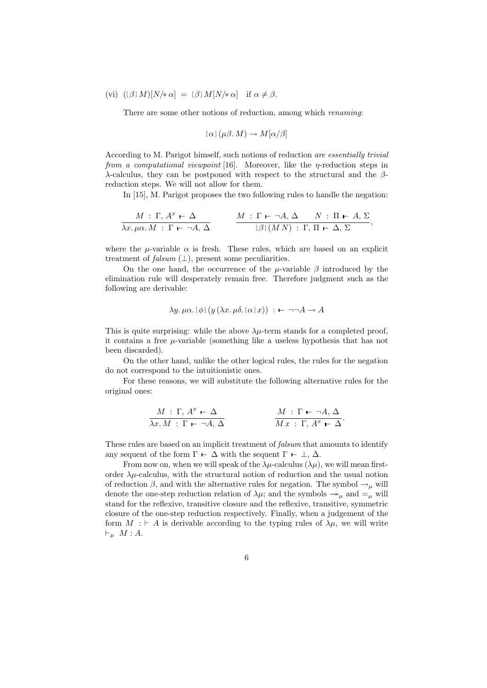$$
(vi) \ ([\beta] \ M)[N/* \alpha] = [\beta] \ M[N/* \alpha] \ \text{if } \alpha \neq \beta.
$$

There are some other notions of reduction, among which *renaming*:

$$
[\alpha] (\mu \beta, M) \to M[\alpha/\beta]
$$

According to M. Parigot himself, such notions of reduction are essentially trivial from a computational viewpoint [16]. Moreover, like the  $\eta$ -reduction steps in λ-calculus, they can be postponed with respect to the structural and the βreduction steps. We will not allow for them.

In [15], M. Parigot proposes the two following rules to handle the negation:

$$
\frac{M \,:\, \Gamma, A^x \,\vdash \,\Delta}{\lambda x.\,\mu\alpha.\,M \,:\, \Gamma \,\vdash \,\neg A, \Delta} \qquad \frac{M \,:\, \Gamma \,\vdash \,\neg A, \Delta \quad N \,:\, \Pi \,\vdash \,A, \,\Sigma}{[\,\beta\,](MN) \,:\, \Gamma, \,\Pi \,\vdash \,\Delta, \,\Sigma},
$$

where the  $\mu$ -variable  $\alpha$  is fresh. These rules, which are based on an explicit treatment of falsum  $(\perp)$ , present some peculiarities.

On the one hand, the occurrence of the  $\mu$ -variable  $\beta$  introduced by the elimination rule will desperately remain free. Therefore judgment such as the following are derivable:

$$
\lambda y. \mu \alpha. [\phi] (y (\lambda x. \mu \delta. [\alpha] x)) : \mathbf{H} \neg \neg A \rightarrow A
$$

This is quite surprising: while the above  $\lambda \mu$ -term stands for a completed proof, it contains a free  $\mu$ -variable (something like a useless hypothesis that has not been discarded).

On the other hand, unlike the other logical rules, the rules for the negation do not correspond to the intuitionistic ones.

For these reasons, we will substitute the following alternative rules for the original ones:

$$
\frac{M \,:\, \Gamma,\, A^x \,\vdash \,\Delta}{\lambda x.\,M \,:\, \Gamma \,\vdash \,\neg A,\,\Delta} \qquad \qquad \frac{M \,:\, \Gamma \,\vdash \,\neg A,\,\Delta}{M\,x \,:\, \Gamma,\, A^x \,\vdash \,\Delta}.
$$

These rules are based on an implicit treatment of *falsum* that amounts to identify any sequent of the form  $\Gamma \vdash \Delta$  with the sequent  $\Gamma \vdash \bot, \Delta$ .

From now on, when we will speak of the  $\lambda \mu$ -calculus  $(\lambda \mu)$ , we will mean firstorder  $\lambda \mu$ -calculus, with the structural notion of reduction and the usual notion of reduction  $\beta$ , and with the alternative rules for negation. The symbol  $\rightarrow_{\mu}$  will denote the one-step reduction relation of  $\lambda \mu$ ; and the symbols  $\rightarrow_{\mu}$  and  $=_{\mu}$  will stand for the reflexive, transitive closure and the reflexive, transitive, symmetric closure of the one-step reduction respectively. Finally, when a judgement of the form  $M : \vdash A$  is derivable according to the typing rules of  $\lambda \mu$ , we will write  $\vdash_{\mu} M : A$ .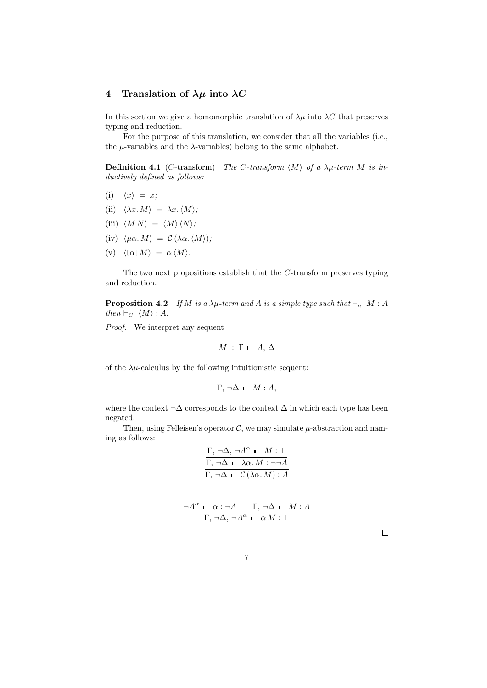## 4 Translation of  $\lambda \mu$  into  $\lambda C$

In this section we give a homomorphic translation of  $\lambda \mu$  into  $\lambda C$  that preserves typing and reduction.

For the purpose of this translation, we consider that all the variables (i.e., the  $\mu$ -variables and the  $\lambda$ -variables) belong to the same alphabet.

**Definition 4.1** (C-transform) The C-transform  $\langle M \rangle$  of a  $\lambda \mu$ -term M is inductively defined as follows:

- (i)  $\langle x \rangle = x;$
- (ii)  $\langle \lambda x. M \rangle = \lambda x. \langle M \rangle;$
- (iii)  $\langle M N \rangle = \langle M \rangle \langle N \rangle;$
- (iv)  $\langle \mu \alpha. M \rangle = C (\lambda \alpha. \langle M \rangle);$
- (v)  $\langle [\alpha] M \rangle = \alpha \langle M \rangle$ .

The two next propositions establish that the C-transform preserves typing and reduction.

**Proposition 4.2** If M is a  $\lambda \mu$ -term and A is a simple type such that  $\vdash_{\mu} M : A$ then  $\vdash_C \langle M \rangle : A$ .

Proof. We interpret any sequent

$$
M\,:\,\Gamma\,\vdash\, A,\,\Delta
$$

of the  $\lambda \mu$ -calculus by the following intuitionistic sequent:

$$
\Gamma, \neg \Delta \vdash M : A,
$$

where the context  $\neg \Delta$  corresponds to the context  $\Delta$  in which each type has been negated.

Then, using Felleisen's operator  $\mathcal{C}$ , we may simulate  $\mu$ -abstraction and naming as follows:

$$
\frac{\Gamma, \neg \Delta, \neg A^{\alpha} \vdash M : \bot}{\Gamma, \neg \Delta \vdash \lambda \alpha. M : \neg \neg A}
$$

$$
\frac{\Gamma, \neg \Delta \vdash \mathcal{C}(\lambda \alpha. M) : A}{\Gamma, \neg \Delta \vdash \mathcal{C}(\lambda \alpha. M) : A}
$$

$$
\frac{\neg A^{\alpha} \vdash \alpha : \neg A \qquad \Gamma, \neg \Delta \vdash M : A}{\Gamma, \neg \Delta, \neg A^{\alpha} \vdash \alpha M : \bot}
$$

 $\Box$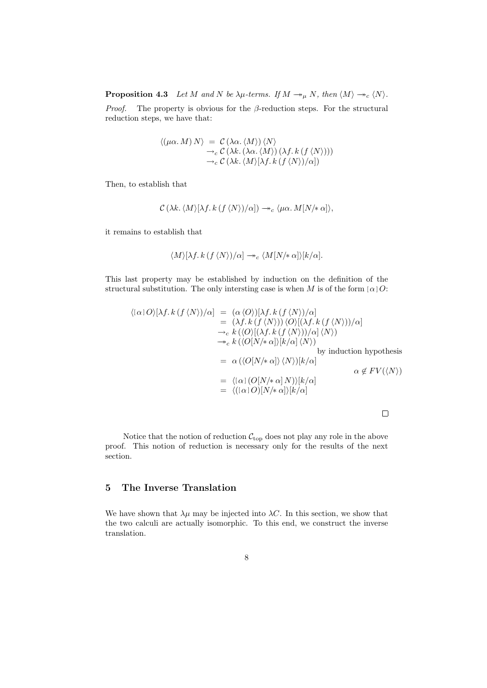**Proposition 4.3** Let M and N be  $\lambda \mu$ -terms. If  $M \rightarrow \mu N$ , then  $\langle M \rangle \rightarrow_c \langle N \rangle$ .

*Proof.* The property is obvious for the  $\beta$ -reduction steps. For the structural reduction steps, we have that:

$$
\langle (\mu \alpha. M) N \rangle = C \langle \lambda \alpha. \langle M \rangle \rangle \langle N \rangle
$$
  
\n
$$
\rightarrow_c C \langle \lambda k. (\lambda \alpha. \langle M \rangle) (\lambda f. k (f \langle N \rangle)))
$$
  
\n
$$
\rightarrow_c C \langle \lambda k. \langle M \rangle [\lambda f. k (f \langle N \rangle)/\alpha])
$$

Then, to establish that

$$
\mathcal{C}\left(\lambda k.\,\langle M\rangle[\lambda f.\,k\,(f\,\langle N\rangle)/\alpha]\right)\twoheadrightarrow_c\langle \mu\alpha.\,M[N/\!*\,\alpha]\rangle,
$$

it remains to establish that

$$
\langle M\rangle[\lambda f.\,k\,(f\,\langle N\rangle)/\alpha]\twoheadrightarrow_c \langle M[N/\!*\,\alpha]\rangle[k/\alpha].
$$

This last property may be established by induction on the definition of the structural substitution. The only intersting case is when M is of the form  $\alpha$  | O:

$$
\langle [\alpha] O \rangle [\lambda f. k (f \langle N \rangle)/\alpha] = (\alpha \langle O \rangle)[\lambda f. k (f \langle N \rangle)/\alpha]
$$
  
\n
$$
= (\lambda f. k (f \langle N \rangle)) \langle O \rangle [(\lambda f. k (f \langle N \rangle))/\alpha]
$$
  
\n
$$
\rightarrow_c k (\langle O \rangle [(\lambda f. k (f \langle N \rangle))/\alpha] \langle N \rangle)
$$
  
\n
$$
\rightarrow_c k (\langle O[N/* \alpha] \rangle [k/\alpha] \langle N \rangle)
$$
  
\nby induction hypothesis  
\n
$$
= \alpha (\langle O[N/* \alpha] \rangle \langle N \rangle)[k/\alpha]
$$
  
\n
$$
= \langle [\alpha] (O[N/* \alpha] N) \rangle [k/\alpha]
$$
  
\n
$$
= \langle [(\alpha] O)[N/* \alpha] \rangle [k/\alpha]
$$

Notice that the notion of reduction  $\mathcal{C}_{\text{top}}$  does not play any role in the above proof. This notion of reduction is necessary only for the results of the next section.

# 5 The Inverse Translation

We have shown that  $\lambda \mu$  may be injected into  $\lambda C$ . In this section, we show that the two calculi are actually isomorphic. To this end, we construct the inverse translation.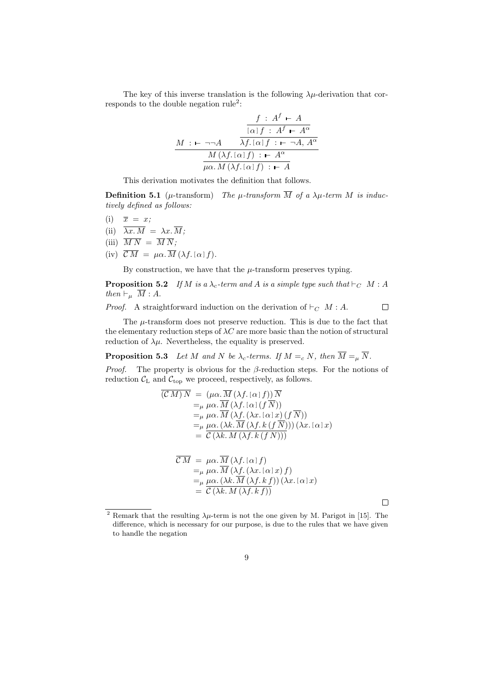The key of this inverse translation is the following  $\lambda \mu$ -derivation that corresponds to the double negation rule<sup>2</sup>:

$$
\frac{f: A^f \vdash A}{\lceil \alpha \rceil f: A^f \vdash A^{\alpha}}
$$
\n
$$
\frac{M: \vdash \neg \neg A \qquad \overline{\lambda f.[\alpha]f: \vdash \neg A, A^{\alpha}}}{M(\lambda f.[\alpha]f): \vdash A^{\alpha}}
$$
\n
$$
\frac{M(\lambda f.[\alpha]f): \vdash A}{\mu \alpha. M(\lambda f.[\alpha]f): \vdash A}
$$

This derivation motivates the definition that follows.

**Definition 5.1** ( $\mu$ -transform) The  $\mu$ -transform  $\overline{M}$  of a  $\lambda \mu$ -term M is inductively defined as follows:

- (i)  $\overline{x} = x;$
- (ii)  $\overline{\lambda x.M} = \lambda x.\overline{M};$
- (iii)  $\overline{M N} = \overline{M} \overline{N}$ ;
- (iv)  $\overline{\mathcal{C}M} = \mu \alpha \cdot \overline{M} (\lambda f. [\alpha] f).$

By construction, we have that the  $\mu$ -transform preserves typing.

**Proposition 5.2** If M is a  $\lambda_c$ -term and A is a simple type such that  $\vdash_C M : A$ then  $\vdash_{\mu} \overline{M} : A$ .

*Proof.* A straightforward induction on the derivation of  $\vdash_C M : A$ .  $\Box$ 

The  $\mu$ -transform does not preserve reduction. This is due to the fact that the elementary reduction steps of  $\lambda C$  are more basic than the notion of structural reduction of  $\lambda \mu$ . Nevertheless, the equality is preserved.

**Proposition 5.3** Let M and N be  $\lambda_c$ -terms. If  $M =_c N$ , then  $\overline{M} =_\mu \overline{N}$ .

*Proof.* The property is obvious for the  $\beta$ -reduction steps. For the notions of reduction  $\mathcal{C}_{L}$  and  $\mathcal{C}_{top}$  we proceed, respectively, as follows.

$$
\begin{aligned} \left(\mathcal{C}\,M\right)N &= \left(\mu\alpha.\overline{M}\left(\lambda f.\left[\alpha\right]f\right)\right)\overline{N} \\ &=_{\mu}\mu\alpha.\overline{M}\left(\lambda f.\left[\alpha\right]\left(f\,\overline{N}\right)\right) \\ &=_{\mu}\mu\alpha.\overline{M}\left(\lambda f.\left(\lambda x.\left[\alpha\right]x\right)\left(f\,\overline{N}\right)\right) \\ &=_{\mu}\mu\alpha.\left(\lambda k.\overline{M}\left(\lambda f.k\left(f\,\overline{N}\right)\right)\right)\left(\lambda x.\left[\alpha\right]x\right) \\ &= \overline{\mathcal{C}\left(\lambda k.\,M\left(\lambda f.k\left(f\,N\right)\right)\right)} \end{aligned}
$$

$$
\overline{\mathcal{C}M} = \mu \alpha \cdot \overline{M} \left( \lambda f. [\alpha] f \right)
$$
  
= $\mu \mu \alpha \cdot \overline{M} \left( \lambda f. (\lambda x. [\alpha] x) f \right)$   
= $\mu \mu \alpha \cdot (\lambda k \cdot \overline{M} \left( \lambda f. k f \right)) (\lambda x. [\alpha] x)$   
= $\overline{\mathcal{C} \left( \lambda k \cdot M \left( \lambda f. k f \right) \right)}$ 

 $\Box$ 

<sup>&</sup>lt;sup>2</sup> Remark that the resulting  $\lambda \mu$ -term is not the one given by M. Parigot in [15]. The difference, which is necessary for our purpose, is due to the rules that we have given to handle the negation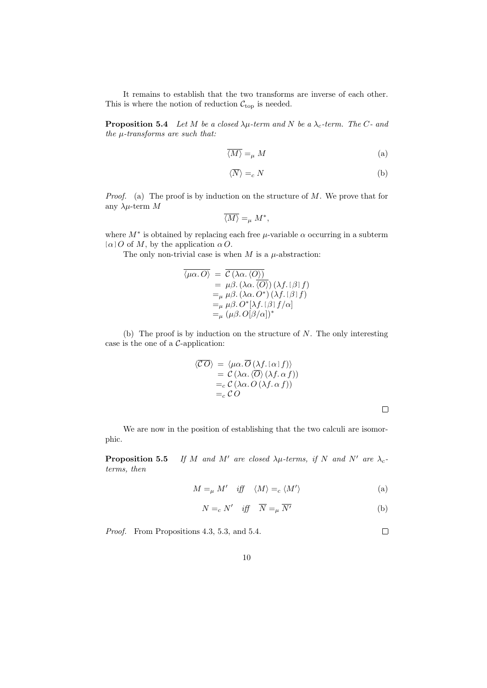It remains to establish that the two transforms are inverse of each other. This is where the notion of reduction  $\mathcal{C}_{\text{top}}$  is needed.

**Proposition 5.4** Let M be a closed  $\lambda \mu$ -term and N be a  $\lambda_c$ -term. The C- and the  $\mu$ -transforms are such that:

$$
\overline{\langle M \rangle} =_{\mu} M \tag{a}
$$

$$
\langle \overline{N} \rangle =_c N \tag{b}
$$

*Proof.* (a) The proof is by induction on the structure of  $M$ . We prove that for any  $\lambda\mu$ -term M

$$
\overline{\langle M\rangle} =_{\mu} M^*,
$$

where  $M^*$  is obtained by replacing each free  $\mu$ -variable  $\alpha$  occurring in a subterm  $[\alpha]$  O of M, by the application  $\alpha$  O.

The only non-trivial case is when  $M$  is a  $\mu$ -abstraction:

$$
\overline{\langle \mu \alpha. O \rangle} = \overline{C(\lambda \alpha. \langle O \rangle)}
$$
  
=  $\mu \beta. (\lambda \alpha. \overline{\langle O \rangle}) (\lambda f. [\beta] f)$   
= $\mu \mu \beta. (\lambda \alpha. O^*) (\lambda f. [\beta] f)$   
= $\mu \mu \beta. O^* [\lambda f. [\beta] f/\alpha]$   
= $\mu (\mu \beta. O[\beta/\alpha])^*$ 

(b) The proof is by induction on the structure of  $N$ . The only interesting case is the one of a C-application:

$$
\langle \overline{CO} \rangle = \langle \mu \alpha. \overline{O} (\lambda f. [\alpha] f) \rangle \n= \mathcal{C} (\lambda \alpha. \langle \overline{O} \rangle (\lambda f. \alpha f)) \n=_{c} \mathcal{C} (\lambda \alpha. O (\lambda f. \alpha f)) \n=_{c} \mathcal{C} O
$$

 $\Box$ 

We are now in the position of establishing that the two calculi are isomorphic.

**Proposition 5.5** If M and M' are closed  $\lambda \mu$ -terms, if N and N' are  $\lambda_c$ terms, then

$$
M =_{\mu} M' \quad \text{iff} \quad \langle M \rangle =_{c} \langle M' \rangle \tag{a}
$$

$$
N =_c N' \quad \text{iff} \quad \overline{N} =_\mu \overline{N'} \tag{b}
$$

Proof. From Propositions 4.3, 5.3, and 5.4.

 $\Box$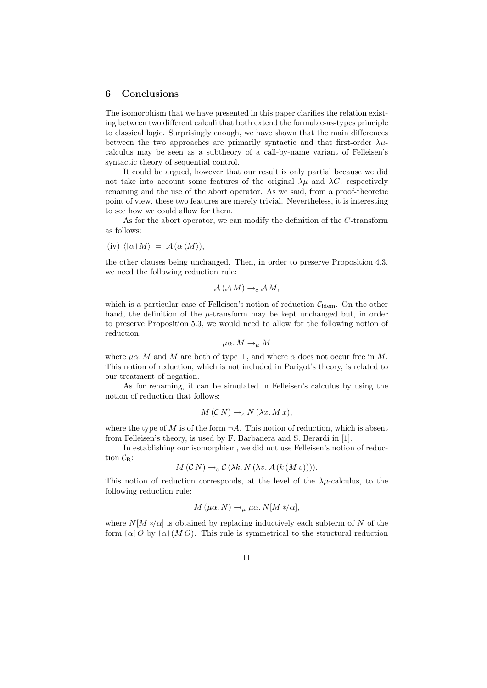### 6 Conclusions

The isomorphism that we have presented in this paper clarifies the relation existing between two different calculi that both extend the formulae-as-types principle to classical logic. Surprisingly enough, we have shown that the main differences between the two approaches are primarily syntactic and that first-order  $\lambda \mu$ calculus may be seen as a subtheory of a call-by-name variant of Felleisen's syntactic theory of sequential control.

It could be argued, however that our result is only partial because we did not take into account some features of the original  $\lambda \mu$  and  $\lambda C$ , respectively renaming and the use of the abort operator. As we said, from a proof-theoretic point of view, these two features are merely trivial. Nevertheless, it is interesting to see how we could allow for them.

As for the abort operator, we can modify the definition of the C-transform as follows:

$$
(iv) \langle [\alpha] M \rangle = \mathcal{A} (\alpha \langle M \rangle),
$$

the other clauses being unchanged. Then, in order to preserve Proposition 4.3, we need the following reduction rule:

$$
\mathcal{A}\left( \mathcal{A} M\right) \rightarrow_c \mathcal{A} M,
$$

which is a particular case of Felleisen's notion of reduction  $C_{\text{idem}}$ . On the other hand, the definition of the  $\mu$ -transform may be kept unchanged but, in order to preserve Proposition 5.3, we would need to allow for the following notion of reduction:

$$
\mu\alpha \ldotp M \rightarrow_{\mu} M
$$

where  $\mu\alpha$ . M and M are both of type  $\perp$ , and where  $\alpha$  does not occur free in M. This notion of reduction, which is not included in Parigot's theory, is related to our treatment of negation.

As for renaming, it can be simulated in Felleisen's calculus by using the notion of reduction that follows:

$$
M(C N) \to_c N(\lambda x. M x),
$$

where the type of M is of the form  $\neg A$ . This notion of reduction, which is absent from Felleisen's theory, is used by F. Barbanera and S. Berardi in [1].

In establishing our isomorphism, we did not use Felleisen's notion of reduction  $\mathcal{C}_{\mathrm{R}}$ :

$$
M(C\ N)\to_c C(\lambda k.\ N(\lambda v.\ A(k\ (M\ v)))).
$$

This notion of reduction corresponds, at the level of the  $\lambda \mu$ -calculus, to the following reduction rule:

$$
M(\mu\alpha.\ N) \to_{\mu} \mu\alpha.\ N[M*/\alpha],
$$

where  $N[M * ]\alpha]$  is obtained by replacing inductively each subterm of N of the form  $\alpha$  o by  $\alpha$   $(M O)$ . This rule is symmetrical to the structural reduction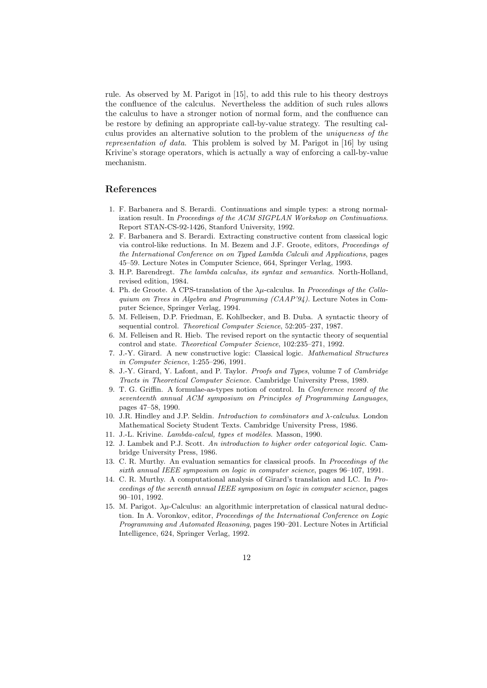rule. As observed by M. Parigot in [15], to add this rule to his theory destroys the confluence of the calculus. Nevertheless the addition of such rules allows the calculus to have a stronger notion of normal form, and the confluence can be restore by defining an appropriate call-by-value strategy. The resulting calculus provides an alternative solution to the problem of the uniqueness of the representation of data. This problem is solved by M. Parigot in [16] by using Krivine's storage operators, which is actually a way of enforcing a call-by-value mechanism.

### References

- 1. F. Barbanera and S. Berardi. Continuations and simple types: a strong normalization result. In Proceedings of the ACM SIGPLAN Workshop on Continuations. Report STAN-CS-92-1426, Stanford University, 1992.
- 2. F. Barbanera and S. Berardi. Extracting constructive content from classical logic via control-like reductions. In M. Bezem and J.F. Groote, editors, Proceedings of the International Conference on on Typed Lambda Calculi and Applications, pages 45–59. Lecture Notes in Computer Science, 664, Springer Verlag, 1993.
- 3. H.P. Barendregt. The lambda calculus, its syntax and semantics. North-Holland, revised edition, 1984.
- 4. Ph. de Groote. A CPS-translation of the  $\lambda \mu$ -calculus. In Proceedings of the Colloquium on Trees in Algebra and Programming (CAAP'94). Lecture Notes in Computer Science, Springer Verlag, 1994.
- 5. M. Felleisen, D.P. Friedman, E. Kohlbecker, and B. Duba. A syntactic theory of sequential control. Theoretical Computer Science, 52:205-237, 1987.
- 6. M. Felleisen and R. Hieb. The revised report on the syntactic theory of sequential control and state. Theoretical Computer Science, 102:235–271, 1992.
- 7. J.-Y. Girard. A new constructive logic: Classical logic. Mathematical Structures in Computer Science, 1:255–296, 1991.
- 8. J.-Y. Girard, Y. Lafont, and P. Taylor. Proofs and Types, volume 7 of Cambridge Tracts in Theoretical Computer Science. Cambridge University Press, 1989.
- 9. T. G. Griffin. A formulae-as-types notion of control. In Conference record of the seventeenth annual ACM symposium on Principles of Programming Languages, pages 47–58, 1990.
- 10. J.R. Hindley and J.P. Seldin. Introduction to combinators and λ-calculus. London Mathematical Society Student Texts. Cambridge University Press, 1986.
- 11. J.-L. Krivine. Lambda-calcul, types et modèles. Masson, 1990.
- 12. J. Lambek and P.J. Scott. An introduction to higher order categorical logic. Cambridge University Press, 1986.
- 13. C. R. Murthy. An evaluation semantics for classical proofs. In Proceedings of the sixth annual IEEE symposium on logic in computer science, pages 96–107, 1991.
- 14. C. R. Murthy. A computational analysis of Girard's translation and LC. In Proceedings of the seventh annual IEEE symposium on logic in computer science, pages 90–101, 1992.
- 15. M. Parigot.  $\lambda \mu$ -Calculus: an algorithmic interpretation of classical natural deduction. In A. Voronkov, editor, Proceedings of the International Conference on Logic Programming and Automated Reasoning, pages 190–201. Lecture Notes in Artificial Intelligence, 624, Springer Verlag, 1992.